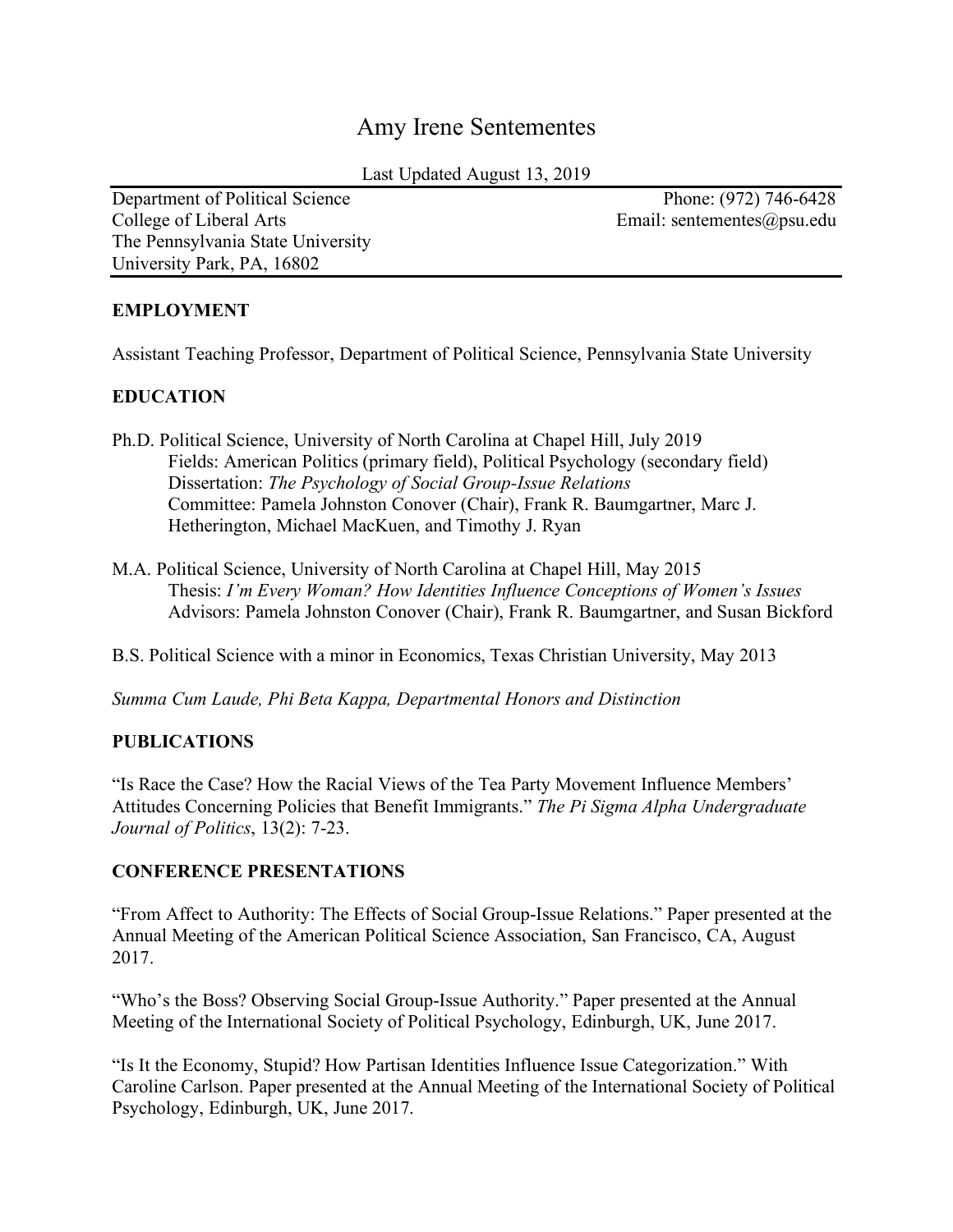# Amy Irene Sentementes

Last Updated August 13, 2019

College of Liberal Arts **Email:** sentementes application of Liberal Arts Email: sentementes application of Liberal Arts The Pennsylvania State University University Park, PA, 16802

Department of Political Science Phone: (972) 746-6428

# **EMPLOYMENT**

Assistant Teaching Professor, Department of Political Science, Pennsylvania State University

# **EDUCATION**

- Ph.D. Political Science, University of North Carolina at Chapel Hill, July 2019 Fields: American Politics (primary field), Political Psychology (secondary field) Dissertation: *The Psychology of Social Group-Issue Relations* Committee: Pamela Johnston Conover (Chair), Frank R. Baumgartner, Marc J. Hetherington, Michael MacKuen, and Timothy J. Ryan
- M.A. Political Science, University of North Carolina at Chapel Hill, May 2015 Thesis: *I'm Every Woman? How Identities Influence Conceptions of Women's Issues* Advisors: Pamela Johnston Conover (Chair), Frank R. Baumgartner, and Susan Bickford

B.S. Political Science with a minor in Economics, Texas Christian University, May 2013

*Summa Cum Laude, Phi Beta Kappa, Departmental Honors and Distinction* 

## **PUBLICATIONS**

"Is Race the Case? How the Racial Views of the Tea Party Movement Influence Members' Attitudes Concerning Policies that Benefit Immigrants." *The Pi Sigma Alpha Undergraduate Journal of Politics*, 13(2): 7-23.

## **CONFERENCE PRESENTATIONS**

"From Affect to Authority: The Effects of Social Group-Issue Relations." Paper presented at the Annual Meeting of the American Political Science Association, San Francisco, CA, August 2017.

"Who's the Boss? Observing Social Group-Issue Authority." Paper presented at the Annual Meeting of the International Society of Political Psychology, Edinburgh, UK, June 2017.

"Is It the Economy, Stupid? How Partisan Identities Influence Issue Categorization." With Caroline Carlson. Paper presented at the Annual Meeting of the International Society of Political Psychology, Edinburgh, UK, June 2017.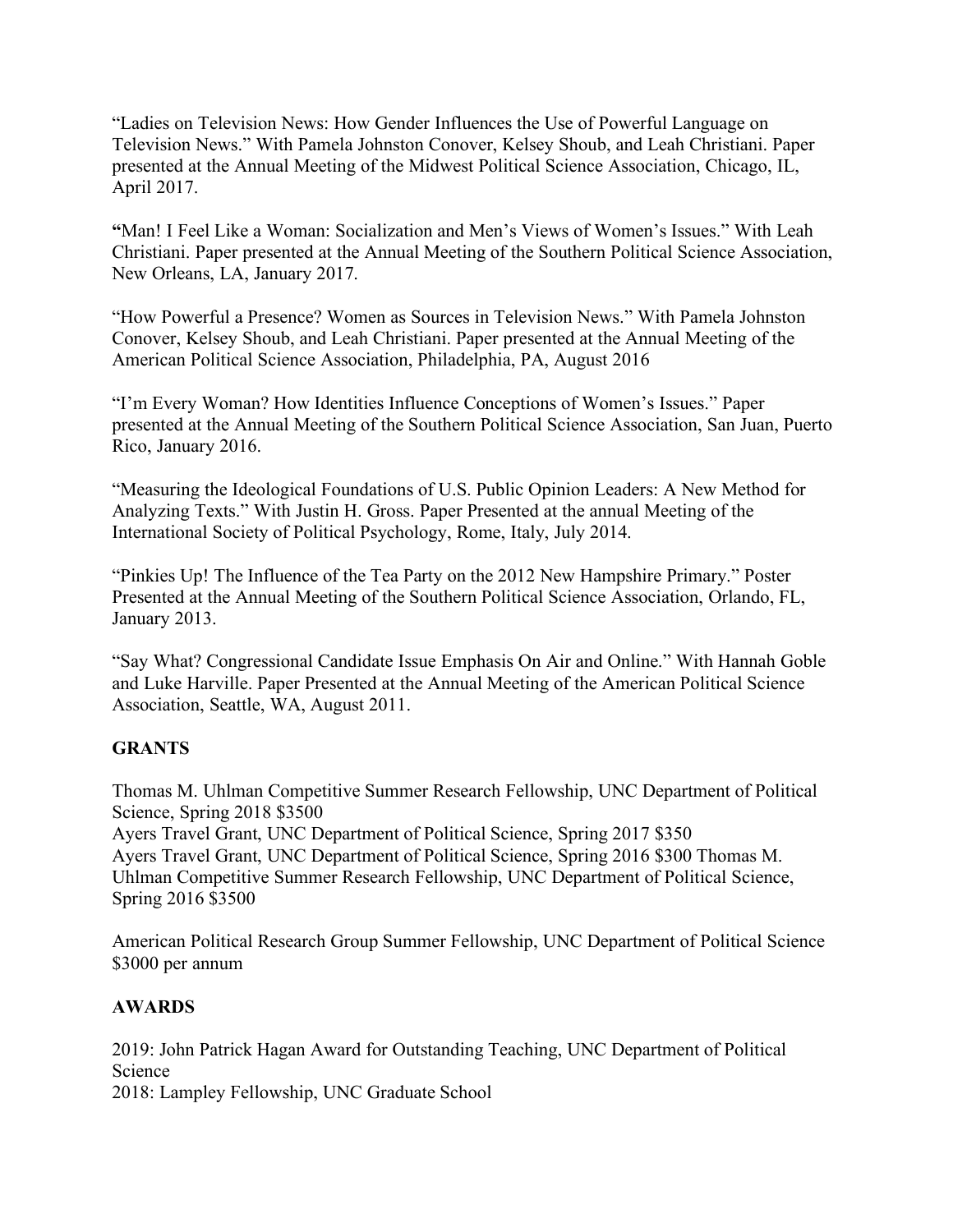"Ladies on Television News: How Gender Influences the Use of Powerful Language on Television News." With Pamela Johnston Conover, Kelsey Shoub, and Leah Christiani. Paper presented at the Annual Meeting of the Midwest Political Science Association, Chicago, IL, April 2017.

**"**Man! I Feel Like a Woman: Socialization and Men's Views of Women's Issues." With Leah Christiani. Paper presented at the Annual Meeting of the Southern Political Science Association, New Orleans, LA, January 2017.

"How Powerful a Presence? Women as Sources in Television News." With Pamela Johnston Conover, Kelsey Shoub, and Leah Christiani. Paper presented at the Annual Meeting of the American Political Science Association, Philadelphia, PA, August 2016

"I'm Every Woman? How Identities Influence Conceptions of Women's Issues." Paper presented at the Annual Meeting of the Southern Political Science Association, San Juan, Puerto Rico, January 2016.

"Measuring the Ideological Foundations of U.S. Public Opinion Leaders: A New Method for Analyzing Texts." With Justin H. Gross. Paper Presented at the annual Meeting of the International Society of Political Psychology, Rome, Italy, July 2014.

"Pinkies Up! The Influence of the Tea Party on the 2012 New Hampshire Primary." Poster Presented at the Annual Meeting of the Southern Political Science Association, Orlando, FL, January 2013.

"Say What? Congressional Candidate Issue Emphasis On Air and Online." With Hannah Goble and Luke Harville. Paper Presented at the Annual Meeting of the American Political Science Association, Seattle, WA, August 2011.

## **GRANTS**

Thomas M. Uhlman Competitive Summer Research Fellowship, UNC Department of Political Science, Spring 2018 \$3500

Ayers Travel Grant, UNC Department of Political Science, Spring 2017 \$350 Ayers Travel Grant, UNC Department of Political Science, Spring 2016 \$300 Thomas M. Uhlman Competitive Summer Research Fellowship, UNC Department of Political Science, Spring 2016 \$3500

American Political Research Group Summer Fellowship, UNC Department of Political Science \$3000 per annum

## **AWARDS**

2019: John Patrick Hagan Award for Outstanding Teaching, UNC Department of Political Science

2018: Lampley Fellowship, UNC Graduate School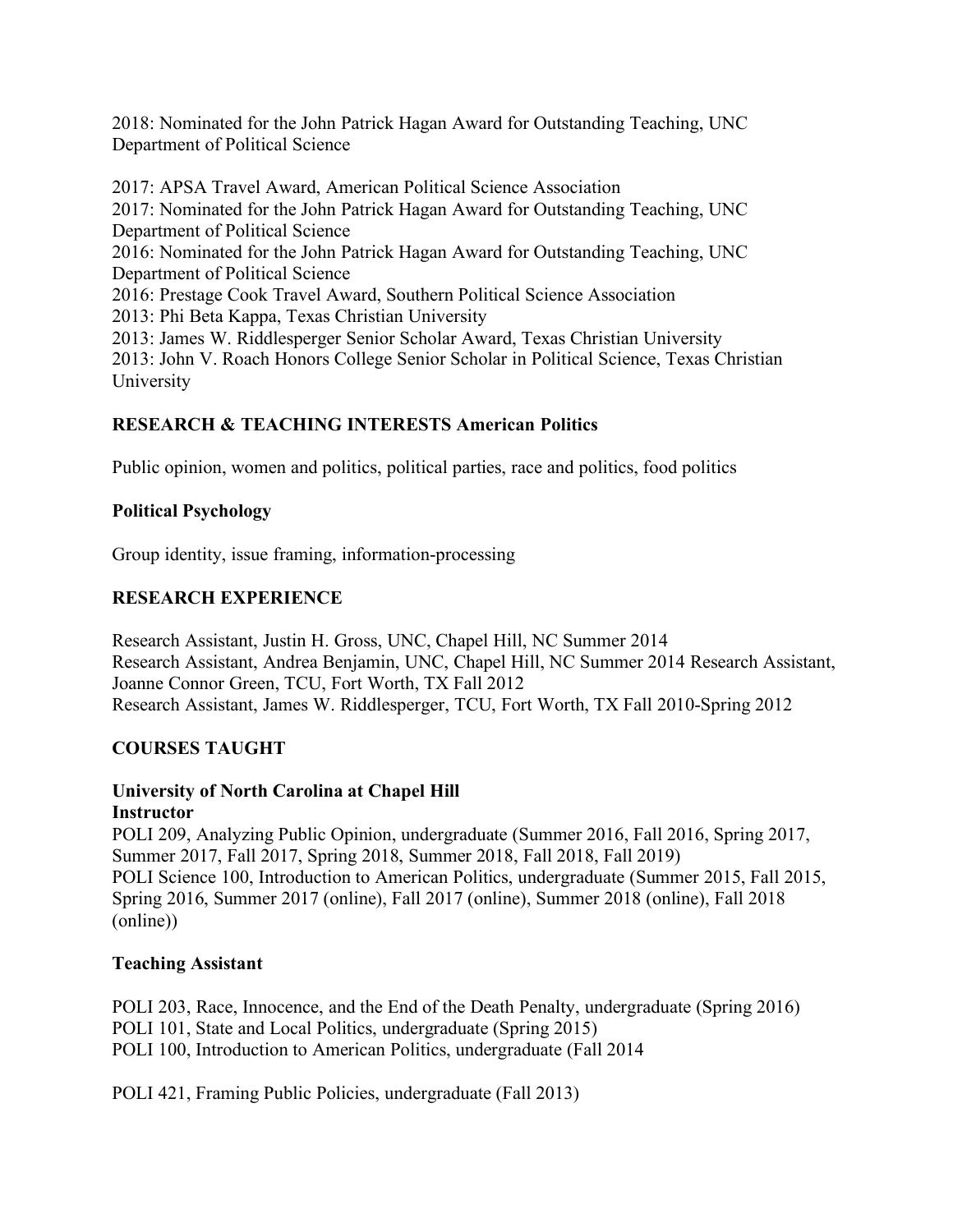2018: Nominated for the John Patrick Hagan Award for Outstanding Teaching, UNC Department of Political Science

2017: APSA Travel Award, American Political Science Association 2017: Nominated for the John Patrick Hagan Award for Outstanding Teaching, UNC Department of Political Science 2016: Nominated for the John Patrick Hagan Award for Outstanding Teaching, UNC Department of Political Science 2016: Prestage Cook Travel Award, Southern Political Science Association 2013: Phi Beta Kappa, Texas Christian University 2013: James W. Riddlesperger Senior Scholar Award, Texas Christian University 2013: John V. Roach Honors College Senior Scholar in Political Science, Texas Christian University

# **RESEARCH & TEACHING INTERESTS American Politics**

Public opinion, women and politics, political parties, race and politics, food politics

# **Political Psychology**

Group identity, issue framing, information-processing

# **RESEARCH EXPERIENCE**

Research Assistant, Justin H. Gross, UNC, Chapel Hill, NC Summer 2014 Research Assistant, Andrea Benjamin, UNC, Chapel Hill, NC Summer 2014 Research Assistant, Joanne Connor Green, TCU, Fort Worth, TX Fall 2012 Research Assistant, James W. Riddlesperger, TCU, Fort Worth, TX Fall 2010-Spring 2012

## **COURSES TAUGHT**

#### **University of North Carolina at Chapel Hill Instructor**

POLI 209, Analyzing Public Opinion, undergraduate (Summer 2016, Fall 2016, Spring 2017, Summer 2017, Fall 2017, Spring 2018, Summer 2018, Fall 2018, Fall 2019) POLI Science 100, Introduction to American Politics, undergraduate (Summer 2015, Fall 2015, Spring 2016, Summer 2017 (online), Fall 2017 (online), Summer 2018 (online), Fall 2018 (online))

## **Teaching Assistant**

POLI 203, Race, Innocence, and the End of the Death Penalty, undergraduate (Spring 2016) POLI 101, State and Local Politics, undergraduate (Spring 2015) POLI 100, Introduction to American Politics, undergraduate (Fall 2014

POLI 421, Framing Public Policies, undergraduate (Fall 2013)